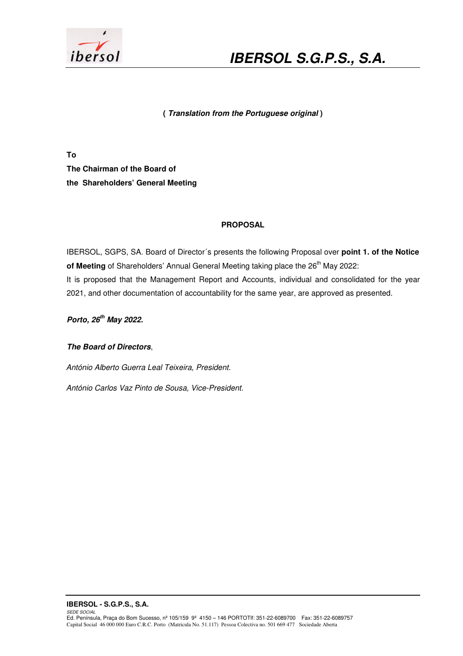

# **IBERSOL S.G.P.S., S.A.**

### **( Translation from the Portuguese original )**

**To The Chairman of the Board of the Shareholders' General Meeting** 

### **PROPOSAL**

IBERSOL, SGPS, SA. Board of Director´s presents the following Proposal over **point 1. of the Notice**  of Meeting of Shareholders' Annual General Meeting taking place the 26<sup>th</sup> May 2022: It is proposed that the Management Report and Accounts, individual and consolidated for the year 2021, and other documentation of accountability for the same year, are approved as presented.

**Porto, 26th May 2022.** 

**The Board of Directors**,

António Alberto Guerra Leal Teixeira, President.

António Carlos Vaz Pinto de Sousa, Vice-President.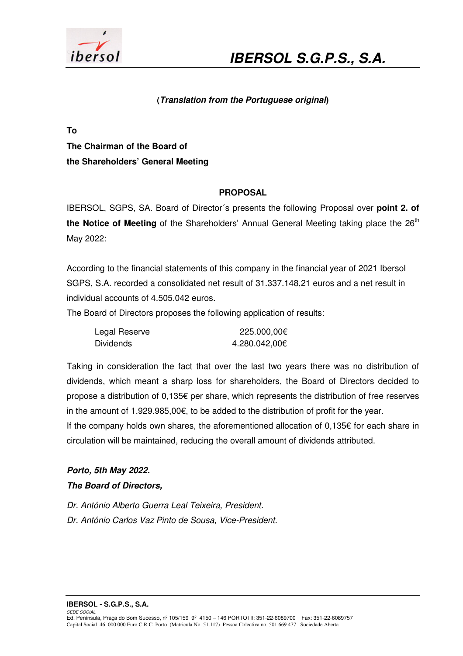

### **(Translation from the Portuguese original)**

**To The Chairman of the Board of the Shareholders' General Meeting** 

### **PROPOSAL**

IBERSOL, SGPS, SA. Board of Director´s presents the following Proposal over **point 2. of**  the Notice of Meeting of the Shareholders' Annual General Meeting taking place the 26<sup>th</sup> May 2022:

According to the financial statements of this company in the financial year of 2021 Ibersol SGPS, S.A. recorded a consolidated net result of 31.337.148,21 euros and a net result in individual accounts of 4.505.042 euros.

The Board of Directors proposes the following application of results:

| Legal Reserve | 225.000,00€   |
|---------------|---------------|
| Dividends     | 4.280.042,00€ |

Taking in consideration the fact that over the last two years there was no distribution of dividends, which meant a sharp loss for shareholders, the Board of Directors decided to propose a distribution of 0,135€ per share, which represents the distribution of free reserves in the amount of 1.929.985,00€, to be added to the distribution of profit for the year. If the company holds own shares, the aforementioned allocation of 0,135€ for each share in

circulation will be maintained, reducing the overall amount of dividends attributed.

### **Porto, 5th May 2022. The Board of Directors,**

Dr. António Alberto Guerra Leal Teixeira, President. Dr. António Carlos Vaz Pinto de Sousa, Vice-President.

**IBERSOL - S.G.P.S., S.A.**  SEDE SOCIAL Ed. Península, Praça do Bom Sucesso, nº 105/159 9º 4150 – 146 PORTOTlf: 351-22-6089700 Fax: 351-22-6089757 Capital Social 46. 000 000 Euro C.R.C. Porto (Matricula No. 51.117) Pessoa Colectiva no. 501 669 477 Sociedade Aberta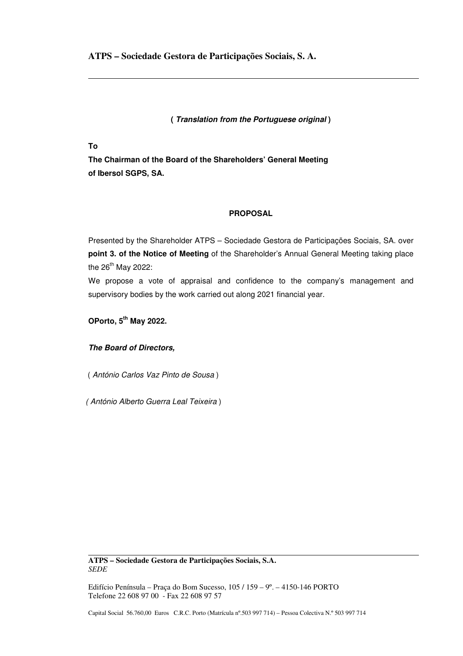**ATPS – Sociedade Gestora de Participações Sociais, S. A.** 

**( Translation from the Portuguese original )** 

**To** 

**The Chairman of the Board of the Shareholders' General Meeting of Ibersol SGPS, SA.** 

### **PROPOSAL**

Presented by the Shareholder ATPS – Sociedade Gestora de Participações Sociais, SA. over **point 3. of the Notice of Meeting** of the Shareholder's Annual General Meeting taking place the  $26^{th}$  May 2022:

We propose a vote of appraisal and confidence to the company's management and supervisory bodies by the work carried out along 2021 financial year.

**OPorto, 5th May 2022.** 

**The Board of Directors,** 

( António Carlos Vaz Pinto de Sousa )

( António Alberto Guerra Leal Teixeira )

**ATPS – Sociedade Gestora de Participações Sociais, S.A.**  *SEDE* 

Edifício Península – Praça do Bom Sucesso, 105 / 159 – 9º. – 4150-146 PORTO Telefone 22 608 97 00 - Fax 22 608 97 57

Capital Social 56.760,00 Euros C.R.C. Porto (Matrícula nº.503 997 714) – Pessoa Colectiva N.º 503 997 714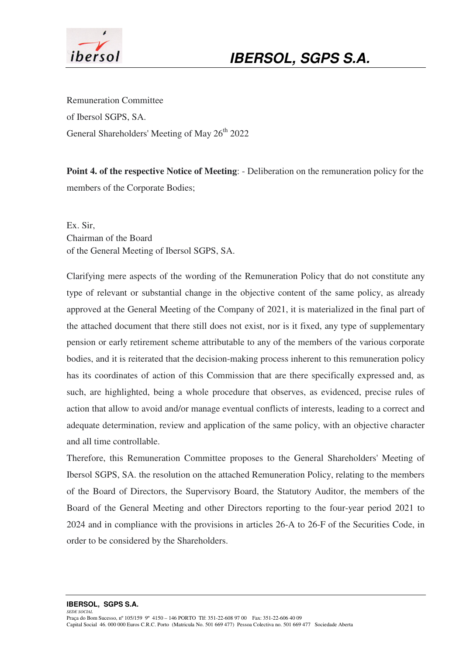

Remuneration Committee of Ibersol SGPS, SA. General Shareholders' Meeting of May 26<sup>th</sup> 2022

**Point 4. of the respective Notice of Meeting**: - Deliberation on the remuneration policy for the members of the Corporate Bodies;

Ex. Sir, Chairman of the Board of the General Meeting of Ibersol SGPS, SA.

Clarifying mere aspects of the wording of the Remuneration Policy that do not constitute any type of relevant or substantial change in the objective content of the same policy, as already approved at the General Meeting of the Company of 2021, it is materialized in the final part of the attached document that there still does not exist, nor is it fixed, any type of supplementary pension or early retirement scheme attributable to any of the members of the various corporate bodies, and it is reiterated that the decision-making process inherent to this remuneration policy has its coordinates of action of this Commission that are there specifically expressed and, as such, are highlighted, being a whole procedure that observes, as evidenced, precise rules of action that allow to avoid and/or manage eventual conflicts of interests, leading to a correct and adequate determination, review and application of the same policy, with an objective character and all time controllable.

Therefore, this Remuneration Committee proposes to the General Shareholders' Meeting of Ibersol SGPS, SA. the resolution on the attached Remuneration Policy, relating to the members of the Board of Directors, the Supervisory Board, the Statutory Auditor, the members of the Board of the General Meeting and other Directors reporting to the four-year period 2021 to 2024 and in compliance with the provisions in articles 26-A to 26-F of the Securities Code, in order to be considered by the Shareholders.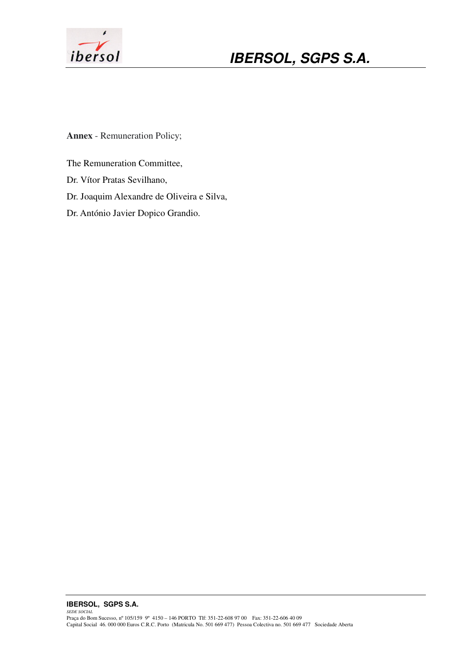

**Annex** - Remuneration Policy;

The Remuneration Committee,

Dr. Vítor Pratas Sevilhano,

Dr. Joaquim Alexandre de Oliveira e Silva,

Dr. António Javier Dopico Grandio.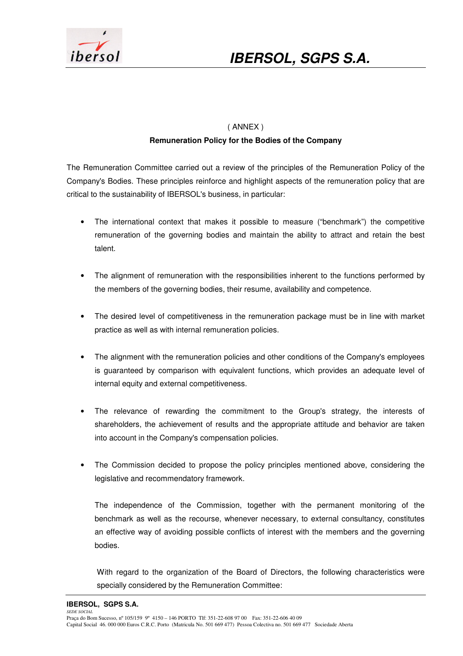

### ( ANNEX ) **Remuneration Policy for the Bodies of the Company**

The Remuneration Committee carried out a review of the principles of the Remuneration Policy of the Company's Bodies. These principles reinforce and highlight aspects of the remuneration policy that are critical to the sustainability of IBERSOL's business, in particular:

- The international context that makes it possible to measure ("benchmark") the competitive remuneration of the governing bodies and maintain the ability to attract and retain the best talent.
- The alignment of remuneration with the responsibilities inherent to the functions performed by the members of the governing bodies, their resume, availability and competence.
- The desired level of competitiveness in the remuneration package must be in line with market practice as well as with internal remuneration policies.
- The alignment with the remuneration policies and other conditions of the Company's employees is guaranteed by comparison with equivalent functions, which provides an adequate level of internal equity and external competitiveness.
- The relevance of rewarding the commitment to the Group's strategy, the interests of shareholders, the achievement of results and the appropriate attitude and behavior are taken into account in the Company's compensation policies.
- The Commission decided to propose the policy principles mentioned above, considering the legislative and recommendatory framework.

The independence of the Commission, together with the permanent monitoring of the benchmark as well as the recourse, whenever necessary, to external consultancy, constitutes an effective way of avoiding possible conflicts of interest with the members and the governing bodies.

With regard to the organization of the Board of Directors, the following characteristics were specially considered by the Remuneration Committee: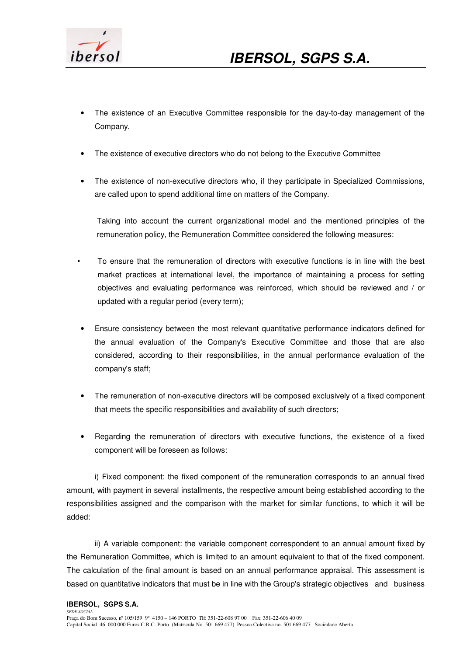

- The existence of an Executive Committee responsible for the day-to-day management of the Company.
- The existence of executive directors who do not belong to the Executive Committee
- The existence of non-executive directors who, if they participate in Specialized Commissions, are called upon to spend additional time on matters of the Company.

Taking into account the current organizational model and the mentioned principles of the remuneration policy, the Remuneration Committee considered the following measures:

- To ensure that the remuneration of directors with executive functions is in line with the best market practices at international level, the importance of maintaining a process for setting objectives and evaluating performance was reinforced, which should be reviewed and / or updated with a regular period (every term);
- Ensure consistency between the most relevant quantitative performance indicators defined for the annual evaluation of the Company's Executive Committee and those that are also considered, according to their responsibilities, in the annual performance evaluation of the company's staff;
- The remuneration of non-executive directors will be composed exclusively of a fixed component that meets the specific responsibilities and availability of such directors;
- Regarding the remuneration of directors with executive functions, the existence of a fixed component will be foreseen as follows:

 i) Fixed component: the fixed component of the remuneration corresponds to an annual fixed amount, with payment in several installments, the respective amount being established according to the responsibilities assigned and the comparison with the market for similar functions, to which it will be added:

 ii) A variable component: the variable component correspondent to an annual amount fixed by the Remuneration Committee, which is limited to an amount equivalent to that of the fixed component. The calculation of the final amount is based on an annual performance appraisal. This assessment is based on quantitative indicators that must be in line with the Group's strategic objectives and business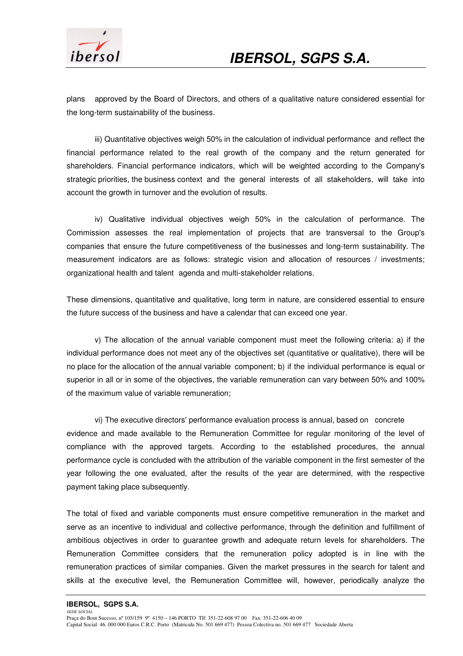

plans approved by the Board of Directors, and others of a qualitative nature considered essential for the long-term sustainability of the business.

 iii) Quantitative objectives weigh 50% in the calculation of individual performance and reflect the financial performance related to the real growth of the company and the return generated for shareholders. Financial performance indicators, which will be weighted according to the Company's strategic priorities, the business context and the general interests of all stakeholders, will take into account the growth in turnover and the evolution of results.

 iv) Qualitative individual objectives weigh 50% in the calculation of performance. The Commission assesses the real implementation of projects that are transversal to the Group's companies that ensure the future competitiveness of the businesses and long-term sustainability. The measurement indicators are as follows: strategic vision and allocation of resources / investments; organizational health and talent agenda and multi-stakeholder relations.

These dimensions, quantitative and qualitative, long term in nature, are considered essential to ensure the future success of the business and have a calendar that can exceed one year.

 v) The allocation of the annual variable component must meet the following criteria: a) if the individual performance does not meet any of the objectives set (quantitative or qualitative), there will be no place for the allocation of the annual variable component; b) if the individual performance is equal or superior in all or in some of the objectives, the variable remuneration can vary between 50% and 100% of the maximum value of variable remuneration;

 vi) The executive directors' performance evaluation process is annual, based on concrete evidence and made available to the Remuneration Committee for regular monitoring of the level of compliance with the approved targets. According to the established procedures, the annual performance cycle is concluded with the attribution of the variable component in the first semester of the year following the one evaluated, after the results of the year are determined, with the respective payment taking place subsequently.

The total of fixed and variable components must ensure competitive remuneration in the market and serve as an incentive to individual and collective performance, through the definition and fulfillment of ambitious objectives in order to guarantee growth and adequate return levels for shareholders. The Remuneration Committee considers that the remuneration policy adopted is in line with the remuneration practices of similar companies. Given the market pressures in the search for talent and skills at the executive level, the Remuneration Committee will, however, periodically analyze the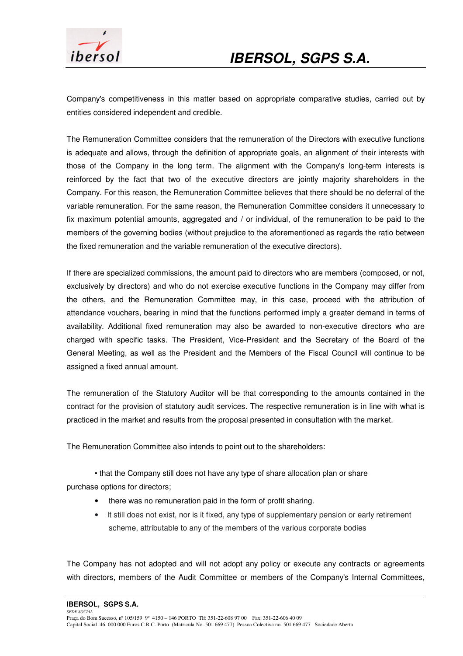

Company's competitiveness in this matter based on appropriate comparative studies, carried out by entities considered independent and credible.

The Remuneration Committee considers that the remuneration of the Directors with executive functions is adequate and allows, through the definition of appropriate goals, an alignment of their interests with those of the Company in the long term. The alignment with the Company's long-term interests is reinforced by the fact that two of the executive directors are jointly majority shareholders in the Company. For this reason, the Remuneration Committee believes that there should be no deferral of the variable remuneration. For the same reason, the Remuneration Committee considers it unnecessary to fix maximum potential amounts, aggregated and / or individual, of the remuneration to be paid to the members of the governing bodies (without prejudice to the aforementioned as regards the ratio between the fixed remuneration and the variable remuneration of the executive directors).

If there are specialized commissions, the amount paid to directors who are members (composed, or not, exclusively by directors) and who do not exercise executive functions in the Company may differ from the others, and the Remuneration Committee may, in this case, proceed with the attribution of attendance vouchers, bearing in mind that the functions performed imply a greater demand in terms of availability. Additional fixed remuneration may also be awarded to non-executive directors who are charged with specific tasks. The President, Vice-President and the Secretary of the Board of the General Meeting, as well as the President and the Members of the Fiscal Council will continue to be assigned a fixed annual amount.

The remuneration of the Statutory Auditor will be that corresponding to the amounts contained in the contract for the provision of statutory audit services. The respective remuneration is in line with what is practiced in the market and results from the proposal presented in consultation with the market.

The Remuneration Committee also intends to point out to the shareholders:

 • that the Company still does not have any type of share allocation plan or share purchase options for directors;

- there was no remuneration paid in the form of profit sharing.
- It still does not exist, nor is it fixed, any type of supplementary pension or early retirement scheme, attributable to any of the members of the various corporate bodies

The Company has not adopted and will not adopt any policy or execute any contracts or agreements with directors, members of the Audit Committee or members of the Company's Internal Committees,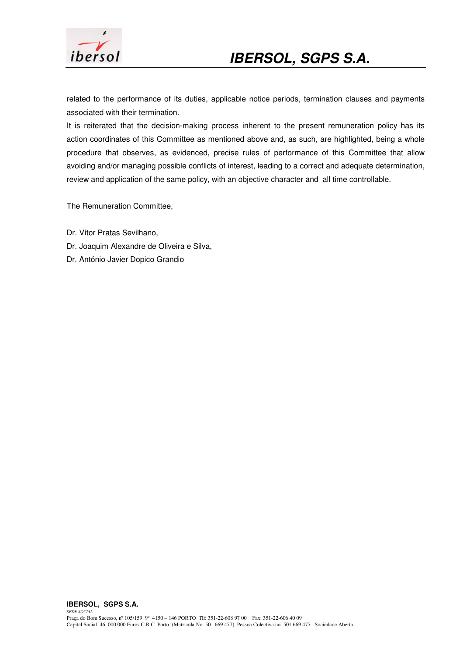

related to the performance of its duties, applicable notice periods, termination clauses and payments associated with their termination.

It is reiterated that the decision-making process inherent to the present remuneration policy has its action coordinates of this Committee as mentioned above and, as such, are highlighted, being a whole procedure that observes, as evidenced, precise rules of performance of this Committee that allow avoiding and/or managing possible conflicts of interest, leading to a correct and adequate determination, review and application of the same policy, with an objective character and all time controllable.

The Remuneration Committee,

- Dr. Vítor Pratas Sevilhano,
- Dr. Joaquim Alexandre de Oliveira e Silva,
- Dr. António Javier Dopico Grandio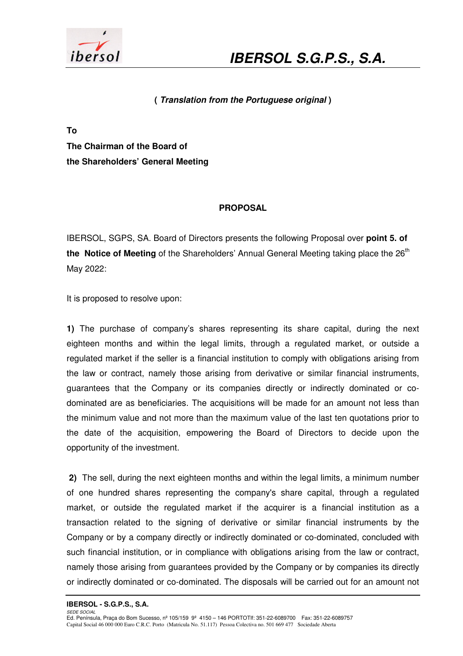

### **( Translation from the Portuguese original )**

**To The Chairman of the Board of the Shareholders' General Meeting** 

### **PROPOSAL**

IBERSOL, SGPS, SA. Board of Directors presents the following Proposal over **point 5. of the Notice of Meeting** of the Shareholders' Annual General Meeting taking place the 26<sup>th</sup> May 2022:

It is proposed to resolve upon:

**1)** The purchase of company's shares representing its share capital, during the next eighteen months and within the legal limits, through a regulated market, or outside a regulated market if the seller is a financial institution to comply with obligations arising from the law or contract, namely those arising from derivative or similar financial instruments, guarantees that the Company or its companies directly or indirectly dominated or codominated are as beneficiaries. The acquisitions will be made for an amount not less than the minimum value and not more than the maximum value of the last ten quotations prior to the date of the acquisition, empowering the Board of Directors to decide upon the opportunity of the investment.

 **2)** The sell, during the next eighteen months and within the legal limits, a minimum number of one hundred shares representing the company's share capital, through a regulated market, or outside the regulated market if the acquirer is a financial institution as a transaction related to the signing of derivative or similar financial instruments by the Company or by a company directly or indirectly dominated or co-dominated, concluded with such financial institution, or in compliance with obligations arising from the law or contract, namely those arising from guarantees provided by the Company or by companies its directly or indirectly dominated or co-dominated. The disposals will be carried out for an amount not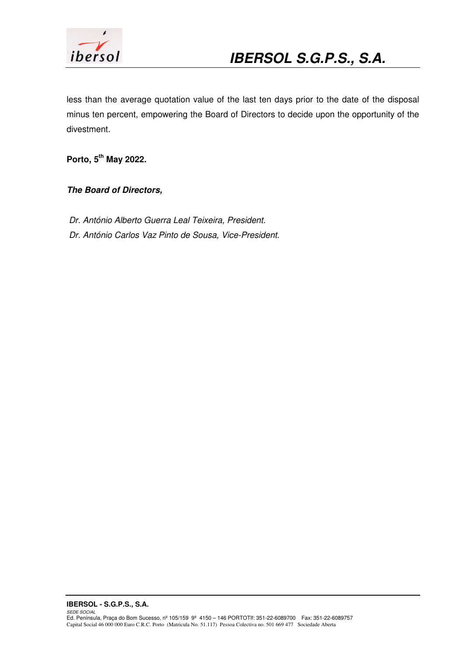

less than the average quotation value of the last ten days prior to the date of the disposal minus ten percent, empowering the Board of Directors to decide upon the opportunity of the divestment.

**Porto, 5th May 2022.** 

**The Board of Directors,** 

 Dr. António Alberto Guerra Leal Teixeira, President. Dr. António Carlos Vaz Pinto de Sousa, Vice-President.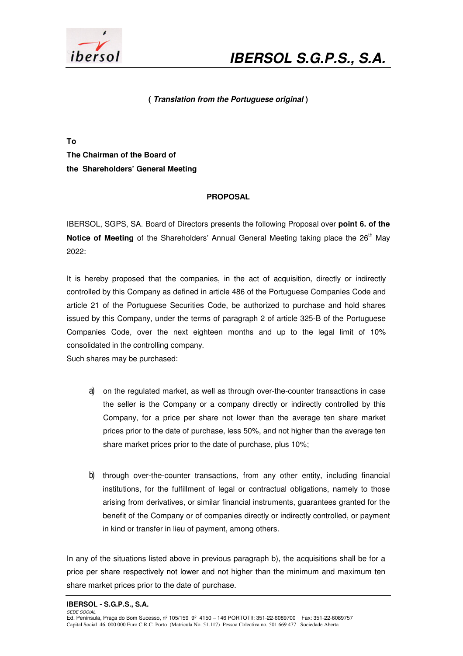

#### **( Translation from the Portuguese original )**

**To** 

**The Chairman of the Board of the Shareholders' General Meeting** 

### **PROPOSAL**

IBERSOL, SGPS, SA. Board of Directors presents the following Proposal over **point 6. of the Notice of Meeting** of the Shareholders' Annual General Meeting taking place the 26<sup>th</sup> May 2022:

It is hereby proposed that the companies, in the act of acquisition, directly or indirectly controlled by this Company as defined in article 486 of the Portuguese Companies Code and article 21 of the Portuguese Securities Code, be authorized to purchase and hold shares issued by this Company, under the terms of paragraph 2 of article 325-B of the Portuguese Companies Code, over the next eighteen months and up to the legal limit of 10% consolidated in the controlling company.

Such shares may be purchased:

- a) on the regulated market, as well as through over-the-counter transactions in case the seller is the Company or a company directly or indirectly controlled by this Company, for a price per share not lower than the average ten share market prices prior to the date of purchase, less 50%, and not higher than the average ten share market prices prior to the date of purchase, plus 10%;
- b) through over-the-counter transactions, from any other entity, including financial institutions, for the fulfillment of legal or contractual obligations, namely to those arising from derivatives, or similar financial instruments, guarantees granted for the benefit of the Company or of companies directly or indirectly controlled, or payment in kind or transfer in lieu of payment, among others.

In any of the situations listed above in previous paragraph b), the acquisitions shall be for a price per share respectively not lower and not higher than the minimum and maximum ten share market prices prior to the date of purchase.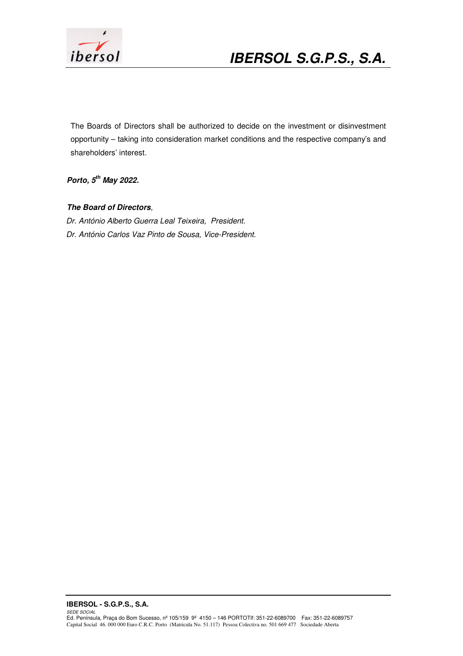

# **IBERSOL S.G.P.S., S.A.**

The Boards of Directors shall be authorized to decide on the investment or disinvestment opportunity – taking into consideration market conditions and the respective company's and shareholders' interest.

**Porto, 5th May 2022.** 

### **The Board of Directors**,

 Dr. António Alberto Guerra Leal Teixeira, President. Dr. António Carlos Vaz Pinto de Sousa, Vice-President.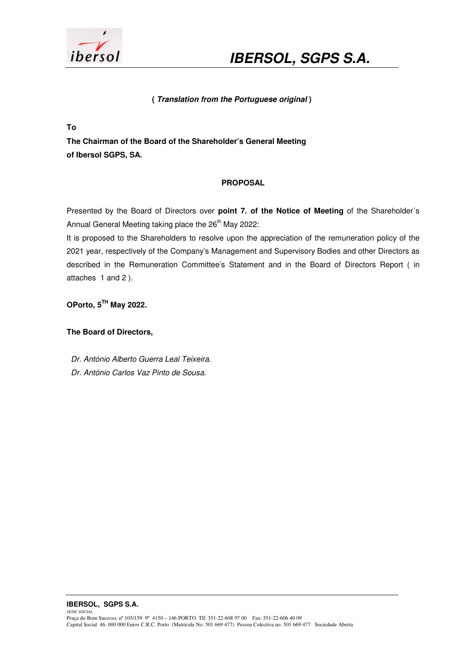

### **( Translation from the Portuguese original )**

**To** 

**The Chairman of the Board of the Shareholder's General Meeting of Ibersol SGPS, SA.** 

### **PROPOSAL**

Presented by the Board of Directors over **point 7. of the Notice of Meeting** of the Shareholder´s Annual General Meeting taking place the 26<sup>th</sup> May 2022:

It is proposed to the Shareholders to resolve upon the appreciation of the remuneration policy of the 2021 year, respectively of the Company's Management and Supervisory Bodies and other Directors as described in the Remuneration Committee's Statement and in the Board of Directors Report ( in attaches 1 and 2 ).

**OPorto, 5TH May 2022.** 

**The Board of Directors,** 

- Dr. António Alberto Guerra Leal Teixeira.
- Dr. António Carlos Vaz Pinto de Sousa.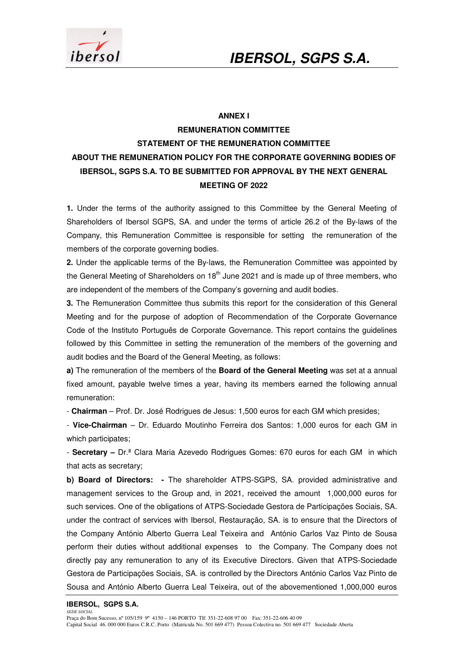



#### **ANNEX I**

### **REMUNERATION COMMITTEE STATEMENT OF THE REMUNERATION COMMITTEE ABOUT THE REMUNERATION POLICY FOR THE CORPORATE GOVERNING BODIES OF IBERSOL, SGPS S.A. TO BE SUBMITTED FOR APPROVAL BY THE NEXT GENERAL MEETING OF 2022**

**1.** Under the terms of the authority assigned to this Committee by the General Meeting of Shareholders of Ibersol SGPS, SA. and under the terms of article 26.2 of the By-laws of the Company, this Remuneration Committee is responsible for setting the remuneration of the members of the corporate governing bodies.

**2.** Under the applicable terms of the By-laws, the Remuneration Committee was appointed by the General Meeting of Shareholders on  $18<sup>th</sup>$  June 2021 and is made up of three members, who are independent of the members of the Company's governing and audit bodies.

**3.** The Remuneration Committee thus submits this report for the consideration of this General Meeting and for the purpose of adoption of Recommendation of the Corporate Governance Code of the Instituto Português de Corporate Governance. This report contains the guidelines followed by this Committee in setting the remuneration of the members of the governing and audit bodies and the Board of the General Meeting, as follows:

**a)** The remuneration of the members of the **Board of the General Meeting** was set at a annual fixed amount, payable twelve times a year, having its members earned the following annual remuneration:

- **Chairman** – Prof. Dr. José Rodrigues de Jesus: 1,500 euros for each GM which presides;

- **Vice-Chairman** – Dr. Eduardo Moutinho Ferreira dos Santos: 1,000 euros for each GM in which participates;

- **Secretary –** Dr.ª Clara Maria Azevedo Rodrigues Gomes: 670 euros for each GM in which that acts as secretary;

**b) Board of Directors: -** The shareholder ATPS-SGPS, SA. provided administrative and management services to the Group and, in 2021, received the amount 1,000,000 euros for such services. One of the obligations of ATPS-Sociedade Gestora de Participações Sociais, SA. under the contract of services with Ibersol, Restauração, SA. is to ensure that the Directors of the Company António Alberto Guerra Leal Teixeira and António Carlos Vaz Pinto de Sousa perform their duties without additional expenses to the Company. The Company does not directly pay any remuneration to any of its Executive Directors. Given that ATPS-Sociedade Gestora de Participações Sociais, SA. is controlled by the Directors António Carlos Vaz Pinto de Sousa and António Alberto Guerra Leal Teixeira, out of the abovementioned 1,000,000 euros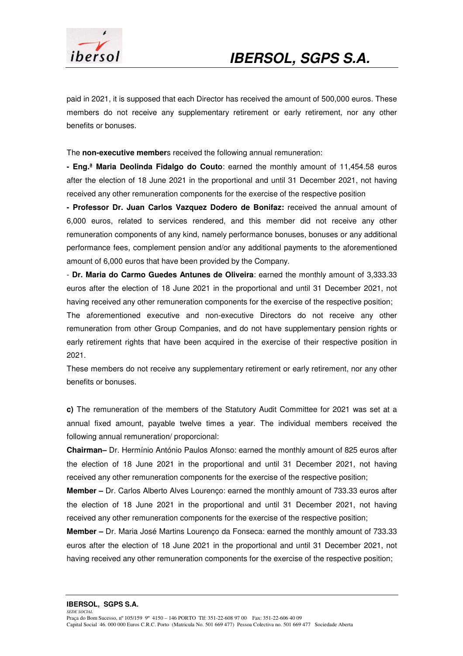

paid in 2021, it is supposed that each Director has received the amount of 500,000 euros. These members do not receive any supplementary retirement or early retirement, nor any other benefits or bonuses.

The **non-executive member**s received the following annual remuneration:

**- Eng.ª Maria Deolinda Fidalgo do Couto**: earned the monthly amount of 11,454.58 euros after the election of 18 June 2021 in the proportional and until 31 December 2021, not having received any other remuneration components for the exercise of the respective position

**- Professor Dr. Juan Carlos Vazquez Dodero de Bonifaz:** received the annual amount of 6,000 euros, related to services rendered, and this member did not receive any other remuneration components of any kind, namely performance bonuses, bonuses or any additional performance fees, complement pension and/or any additional payments to the aforementioned amount of 6,000 euros that have been provided by the Company.

- **Dr. Maria do Carmo Guedes Antunes de Oliveira**: earned the monthly amount of 3,333.33 euros after the election of 18 June 2021 in the proportional and until 31 December 2021, not having received any other remuneration components for the exercise of the respective position;

The aforementioned executive and non-executive Directors do not receive any other remuneration from other Group Companies, and do not have supplementary pension rights or early retirement rights that have been acquired in the exercise of their respective position in 2021.

These members do not receive any supplementary retirement or early retirement, nor any other benefits or bonuses.

**c)** The remuneration of the members of the Statutory Audit Committee for 2021 was set at a annual fixed amount, payable twelve times a year. The individual members received the following annual remuneration/ proporcional:

**Chairman–** Dr. Hermínio António Paulos Afonso: earned the monthly amount of 825 euros after the election of 18 June 2021 in the proportional and until 31 December 2021, not having received any other remuneration components for the exercise of the respective position;

**Member –** Dr. Carlos Alberto Alves Lourenço: earned the monthly amount of 733.33 euros after the election of 18 June 2021 in the proportional and until 31 December 2021, not having received any other remuneration components for the exercise of the respective position;

**Member –** Dr. Maria José Martins Lourenço da Fonseca: earned the monthly amount of 733.33 euros after the election of 18 June 2021 in the proportional and until 31 December 2021, not having received any other remuneration components for the exercise of the respective position;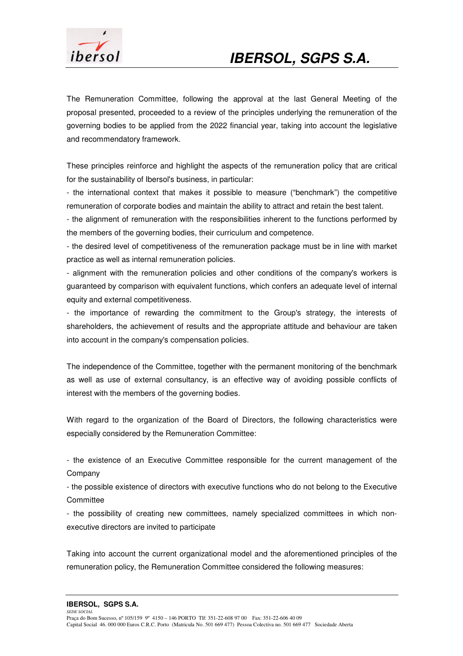

The Remuneration Committee, following the approval at the last General Meeting of the proposal presented, proceeded to a review of the principles underlying the remuneration of the governing bodies to be applied from the 2022 financial year, taking into account the legislative and recommendatory framework.

These principles reinforce and highlight the aspects of the remuneration policy that are critical for the sustainability of Ibersol's business, in particular:

- the international context that makes it possible to measure ("benchmark") the competitive remuneration of corporate bodies and maintain the ability to attract and retain the best talent.

- the alignment of remuneration with the responsibilities inherent to the functions performed by the members of the governing bodies, their curriculum and competence.

- the desired level of competitiveness of the remuneration package must be in line with market practice as well as internal remuneration policies.

- alignment with the remuneration policies and other conditions of the company's workers is guaranteed by comparison with equivalent functions, which confers an adequate level of internal equity and external competitiveness.

- the importance of rewarding the commitment to the Group's strategy, the interests of shareholders, the achievement of results and the appropriate attitude and behaviour are taken into account in the company's compensation policies.

The independence of the Committee, together with the permanent monitoring of the benchmark as well as use of external consultancy, is an effective way of avoiding possible conflicts of interest with the members of the governing bodies.

With regard to the organization of the Board of Directors, the following characteristics were especially considered by the Remuneration Committee:

- the existence of an Executive Committee responsible for the current management of the Company

- the possible existence of directors with executive functions who do not belong to the Executive **Committee** 

- the possibility of creating new committees, namely specialized committees in which nonexecutive directors are invited to participate

Taking into account the current organizational model and the aforementioned principles of the remuneration policy, the Remuneration Committee considered the following measures: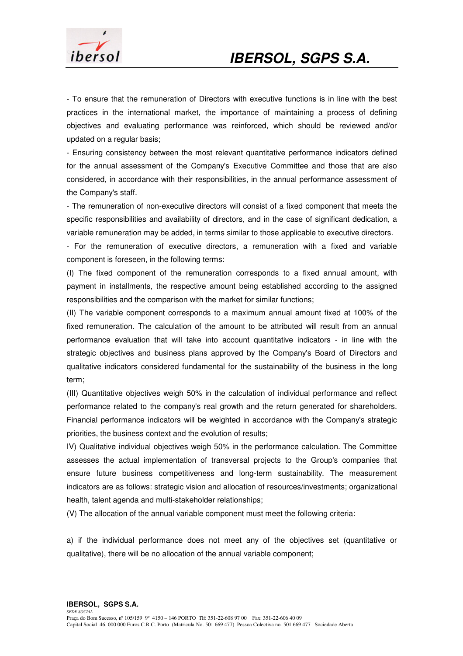

- To ensure that the remuneration of Directors with executive functions is in line with the best practices in the international market, the importance of maintaining a process of defining objectives and evaluating performance was reinforced, which should be reviewed and/or updated on a regular basis;

- Ensuring consistency between the most relevant quantitative performance indicators defined for the annual assessment of the Company's Executive Committee and those that are also considered, in accordance with their responsibilities, in the annual performance assessment of the Company's staff.

- The remuneration of non-executive directors will consist of a fixed component that meets the specific responsibilities and availability of directors, and in the case of significant dedication, a variable remuneration may be added, in terms similar to those applicable to executive directors.

- For the remuneration of executive directors, a remuneration with a fixed and variable component is foreseen, in the following terms:

(I) The fixed component of the remuneration corresponds to a fixed annual amount, with payment in installments, the respective amount being established according to the assigned responsibilities and the comparison with the market for similar functions;

(II) The variable component corresponds to a maximum annual amount fixed at 100% of the fixed remuneration. The calculation of the amount to be attributed will result from an annual performance evaluation that will take into account quantitative indicators - in line with the strategic objectives and business plans approved by the Company's Board of Directors and qualitative indicators considered fundamental for the sustainability of the business in the long term;

(III) Quantitative objectives weigh 50% in the calculation of individual performance and reflect performance related to the company's real growth and the return generated for shareholders. Financial performance indicators will be weighted in accordance with the Company's strategic priorities, the business context and the evolution of results;

IV) Qualitative individual objectives weigh 50% in the performance calculation. The Committee assesses the actual implementation of transversal projects to the Group's companies that ensure future business competitiveness and long-term sustainability. The measurement indicators are as follows: strategic vision and allocation of resources/investments; organizational health, talent agenda and multi-stakeholder relationships;

(V) The allocation of the annual variable component must meet the following criteria:

a) if the individual performance does not meet any of the objectives set (quantitative or qualitative), there will be no allocation of the annual variable component;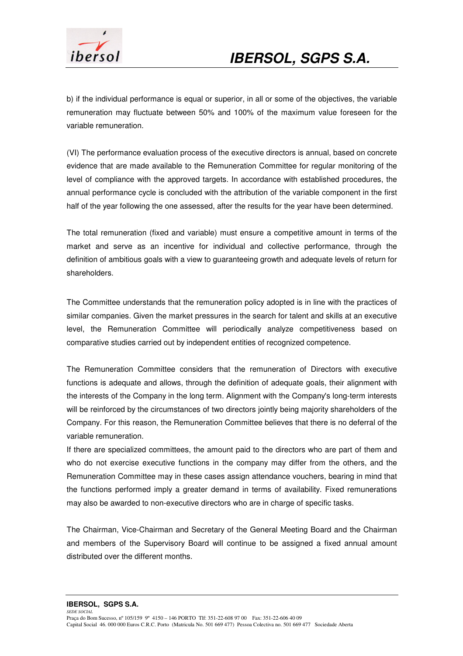

b) if the individual performance is equal or superior, in all or some of the objectives, the variable remuneration may fluctuate between 50% and 100% of the maximum value foreseen for the variable remuneration.

(VI) The performance evaluation process of the executive directors is annual, based on concrete evidence that are made available to the Remuneration Committee for regular monitoring of the level of compliance with the approved targets. In accordance with established procedures, the annual performance cycle is concluded with the attribution of the variable component in the first half of the year following the one assessed, after the results for the year have been determined.

The total remuneration (fixed and variable) must ensure a competitive amount in terms of the market and serve as an incentive for individual and collective performance, through the definition of ambitious goals with a view to guaranteeing growth and adequate levels of return for shareholders.

The Committee understands that the remuneration policy adopted is in line with the practices of similar companies. Given the market pressures in the search for talent and skills at an executive level, the Remuneration Committee will periodically analyze competitiveness based on comparative studies carried out by independent entities of recognized competence.

The Remuneration Committee considers that the remuneration of Directors with executive functions is adequate and allows, through the definition of adequate goals, their alignment with the interests of the Company in the long term. Alignment with the Company's long-term interests will be reinforced by the circumstances of two directors jointly being majority shareholders of the Company. For this reason, the Remuneration Committee believes that there is no deferral of the variable remuneration.

If there are specialized committees, the amount paid to the directors who are part of them and who do not exercise executive functions in the company may differ from the others, and the Remuneration Committee may in these cases assign attendance vouchers, bearing in mind that the functions performed imply a greater demand in terms of availability. Fixed remunerations may also be awarded to non-executive directors who are in charge of specific tasks.

The Chairman, Vice-Chairman and Secretary of the General Meeting Board and the Chairman and members of the Supervisory Board will continue to be assigned a fixed annual amount distributed over the different months.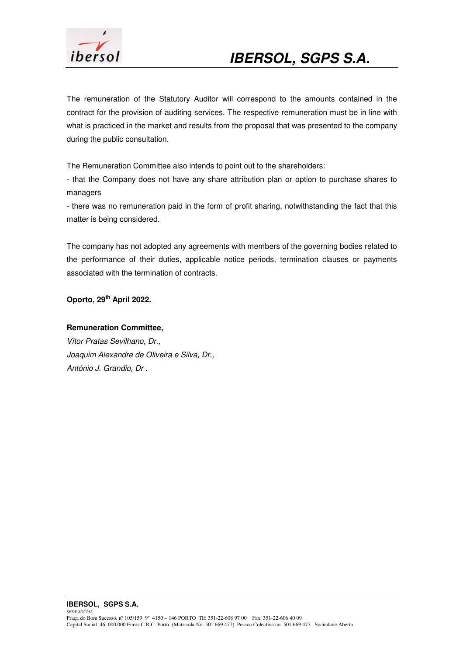

The remuneration of the Statutory Auditor will correspond to the amounts contained in the contract for the provision of auditing services. The respective remuneration must be in line with what is practiced in the market and results from the proposal that was presented to the company during the public consultation.

The Remuneration Committee also intends to point out to the shareholders:

- that the Company does not have any share attribution plan or option to purchase shares to managers

- there was no remuneration paid in the form of profit sharing, notwithstanding the fact that this matter is being considered.

The company has not adopted any agreements with members of the governing bodies related to the performance of their duties, applicable notice periods, termination clauses or payments associated with the termination of contracts.

**Oporto, 29th April 2022.** 

#### **Remuneration Committee,**

Vítor Pratas Sevilhano, Dr., Joaquim Alexandre de Oliveira e Silva, Dr., António J. Grandio, Dr .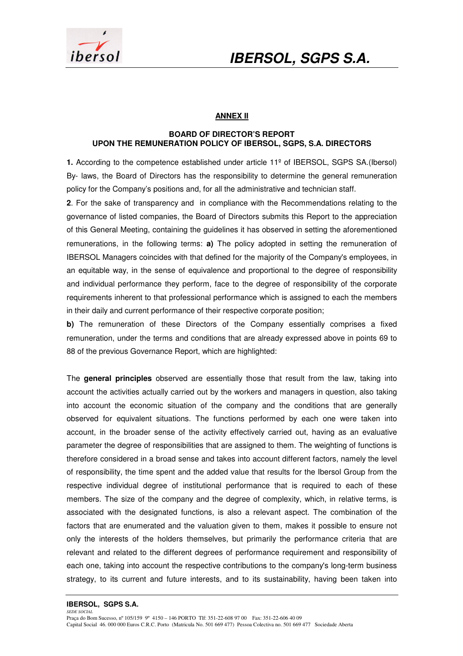

### **ANNEX II**

#### **BOARD OF DIRECTOR'S REPORT UPON THE REMUNERATION POLICY OF IBERSOL, SGPS, S.A. DIRECTORS**

**1.** According to the competence established under article 11º of IBERSOL, SGPS SA.(Ibersol) By- laws, the Board of Directors has the responsibility to determine the general remuneration policy for the Company's positions and, for all the administrative and technician staff.

**2**. For the sake of transparency and in compliance with the Recommendations relating to the governance of listed companies, the Board of Directors submits this Report to the appreciation of this General Meeting, containing the guidelines it has observed in setting the aforementioned remunerations, in the following terms: **a)** The policy adopted in setting the remuneration of IBERSOL Managers coincides with that defined for the majority of the Company's employees, in an equitable way, in the sense of equivalence and proportional to the degree of responsibility and individual performance they perform, face to the degree of responsibility of the corporate requirements inherent to that professional performance which is assigned to each the members in their daily and current performance of their respective corporate position;

**b)** The remuneration of these Directors of the Company essentially comprises a fixed remuneration, under the terms and conditions that are already expressed above in points 69 to 88 of the previous Governance Report, which are highlighted:

The **general principles** observed are essentially those that result from the law, taking into account the activities actually carried out by the workers and managers in question, also taking into account the economic situation of the company and the conditions that are generally observed for equivalent situations. The functions performed by each one were taken into account, in the broader sense of the activity effectively carried out, having as an evaluative parameter the degree of responsibilities that are assigned to them. The weighting of functions is therefore considered in a broad sense and takes into account different factors, namely the level of responsibility, the time spent and the added value that results for the Ibersol Group from the respective individual degree of institutional performance that is required to each of these members. The size of the company and the degree of complexity, which, in relative terms, is associated with the designated functions, is also a relevant aspect. The combination of the factors that are enumerated and the valuation given to them, makes it possible to ensure not only the interests of the holders themselves, but primarily the performance criteria that are relevant and related to the different degrees of performance requirement and responsibility of each one, taking into account the respective contributions to the company's long-term business strategy, to its current and future interests, and to its sustainability, having been taken into